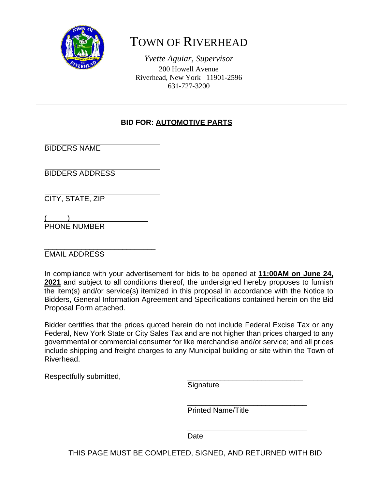

# TOWN OF RIVERHEAD

*Yvette Aguiar, Supervisor*  200 Howell Avenue Riverhead, New York 11901-2596 631-727-3200

### **BID FOR: AUTOMOTIVE PARTS**

BIDDERS NAME

BIDDERS ADDRESS

CITY, STATE, ZIP

 $\overline{(\hspace{.1cm}\cdot\hspace{.1cm} \cdot \hspace{.1cm} \cdot \hspace{.1cm} \cdot \hspace{.1cm} \cdot \hspace{.1cm} \cdot \hspace{.1cm} \cdot \hspace{.1cm} \cdot \hspace{.1cm} \cdot \hspace{.1cm} \cdot \hspace{.1cm} \cdot \hspace{.1cm} \cdot \hspace{.1cm} \cdot \hspace{.1cm} \cdot \hspace{.1cm} \cdot \hspace{.1cm} \cdot \hspace{.1cm} \cdot \hspace{.1cm} \cdot \hspace{.1cm} \cdot \hspace{.1cm} \cdot \hspace{.1cm} \cdot \hspace{.1cm$ PHONE NUMBER

\_\_\_\_\_\_\_\_\_\_\_\_\_\_\_\_\_\_\_\_\_\_\_\_\_\_\_ EMAIL ADDRESS

In compliance with your advertisement for bids to be opened at **11:00AM on June 24, 2021** and subject to all conditions thereof, the undersigned hereby proposes to furnish the item(s) and/or service(s) itemized in this proposal in accordance with the Notice to Bidders, General Information Agreement and Specifications contained herein on the Bid Proposal Form attached.

Bidder certifies that the prices quoted herein do not include Federal Excise Tax or any Federal, New York State or City Sales Tax and are not higher than prices charged to any governmental or commercial consumer for like merchandise and/or service; and all prices include shipping and freight charges to any Municipal building or site within the Town of Riverhead.

 $\overline{\phantom{a}}$  , and the contract of the contract of the contract of the contract of the contract of the contract of the contract of the contract of the contract of the contract of the contract of the contract of the contrac

 $\frac{1}{\sqrt{2\pi}}$  ,  $\frac{1}{\sqrt{2\pi}}$  ,  $\frac{1}{\sqrt{2\pi}}$  ,  $\frac{1}{\sqrt{2\pi}}$  ,  $\frac{1}{\sqrt{2\pi}}$  ,  $\frac{1}{\sqrt{2\pi}}$  ,  $\frac{1}{\sqrt{2\pi}}$  ,  $\frac{1}{\sqrt{2\pi}}$  ,  $\frac{1}{\sqrt{2\pi}}$  ,  $\frac{1}{\sqrt{2\pi}}$  ,  $\frac{1}{\sqrt{2\pi}}$  ,  $\frac{1}{\sqrt{2\pi}}$  ,  $\frac{1}{\sqrt{2\pi}}$  ,

Respectfully submitted,

Signature

Printed Name/Title

**Date Date Date** 

THIS PAGE MUST BE COMPLETED, SIGNED, AND RETURNED WITH BID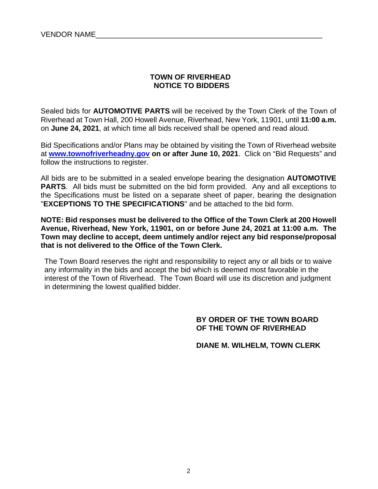#### **TOWN OF RIVERHEAD NOTICE TO BIDDERS**

Sealed bids for **AUTOMOTIVE PARTS** will be received by the Town Clerk of the Town of Riverhead at Town Hall, 200 Howell Avenue, Riverhead, New York, 11901, until **11:00 a.m.** on **June 24, 2021**, at which time all bids received shall be opened and read aloud.

Bid Specifications and/or Plans may be obtained by visiting the Town of Riverhead website at **www.townofriverheadny.gov on or after June 10, 2021**. Click on "Bid Requests" and follow the instructions to register.

All bids are to be submitted in a sealed envelope bearing the designation **AUTOMOTIVE PARTS.** All bids must be submitted on the bid form provided. Any and all exceptions to the Specifications must be listed on a separate sheet of paper, bearing the designation "**EXCEPTIONS TO THE SPECIFICATIONS**" and be attached to the bid form.

**NOTE: Bid responses must be delivered to the Office of the Town Clerk at 200 Howell Avenue, Riverhead, New York, 11901, on or before June 24, 2021 at 11:00 a.m. The Town may decline to accept, deem untimely and/or reject any bid response/proposal that is not delivered to the Office of the Town Clerk.**

The Town Board reserves the right and responsibility to reject any or all bids or to waive any informality in the bids and accept the bid which is deemed most favorable in the interest of the Town of Riverhead. The Town Board will use its discretion and judgment in determining the lowest qualified bidder.

#### **BY ORDER OF THE TOWN BOARD OF THE TOWN OF RIVERHEAD**

 **DIANE M. WILHELM, TOWN CLERK**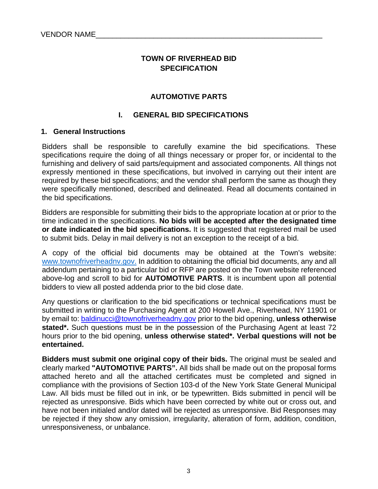#### **TOWN OF RIVERHEAD BID SPECIFICATION**

#### **AUTOMOTIVE PARTS**

#### **I. GENERAL BID SPECIFICATIONS**

#### **1. General Instructions**

Bidders shall be responsible to carefully examine the bid specifications. These specifications require the doing of all things necessary or proper for, or incidental to the furnishing and delivery of said parts/equipment and associated components. All things not expressly mentioned in these specifications, but involved in carrying out their intent are required by these bid specifications; and the vendor shall perform the same as though they were specifically mentioned, described and delineated. Read all documents contained in the bid specifications.

Bidders are responsible for submitting their bids to the appropriate location at or prior to the time indicated in the specifications. **No bids will be accepted after the designated time or date indicated in the bid specifications.** It is suggested that registered mail be used to submit bids. Delay in mail delivery is not an exception to the receipt of a bid.

A copy of the official bid documents may be obtained at the Town's website: www.townofriverheadny.gov. In addition to obtaining the official bid documents, any and all addendum pertaining to a particular bid or RFP are posted on the Town website referenced above-log and scroll to bid for **AUTOMOTIVE PARTS**. It is incumbent upon all potential bidders to view all posted addenda prior to the bid close date.

Any questions or clarification to the bid specifications or technical specifications must be submitted in writing to the Purchasing Agent at 200 Howell Ave., Riverhead, NY 11901 or by email to: baldinucci@townofriverheadny.gov prior to the bid opening, **unless otherwise stated\*.** Such questions must be in the possession of the Purchasing Agent at least 72 hours prior to the bid opening, **unless otherwise stated\*. Verbal questions will not be entertained.** 

**Bidders must submit one original copy of their bids.** The original must be sealed and clearly marked **"AUTOMOTIVE PARTS".** All bids shall be made out on the proposal forms attached hereto and all the attached certificates must be completed and signed in compliance with the provisions of Section 103-d of the New York State General Municipal Law. All bids must be filled out in ink, or be typewritten. Bids submitted in pencil will be rejected as unresponsive. Bids which have been corrected by white out or cross out, and have not been initialed and/or dated will be rejected as unresponsive. Bid Responses may be rejected if they show any omission, irregularity, alteration of form, addition, condition, unresponsiveness, or unbalance.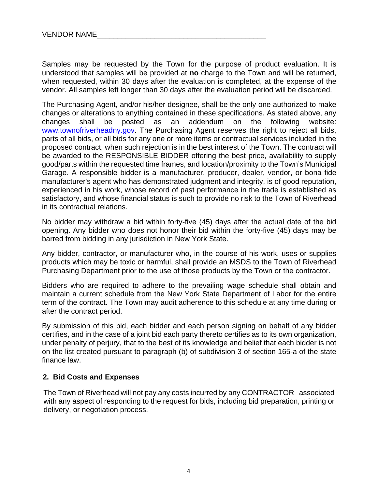Samples may be requested by the Town for the purpose of product evaluation. It is understood that samples will be provided at **no** charge to the Town and will be returned, when requested, within 30 days after the evaluation is completed, at the expense of the vendor. All samples left longer than 30 days after the evaluation period will be discarded.

The Purchasing Agent, and/or his/her designee, shall be the only one authorized to make changes or alterations to anything contained in these specifications. As stated above, any changes shall be posted as an addendum on the following website: www.townofriverheadny.gov. The Purchasing Agent reserves the right to reject all bids, parts of all bids, or all bids for any one or more items or contractual services included in the proposed contract, when such rejection is in the best interest of the Town. The contract will be awarded to the RESPONSIBLE BIDDER offering the best price, availability to supply good/parts within the requested time frames, and location/proximity to the Town's Municipal Garage. A responsible bidder is a manufacturer, producer, dealer, vendor, or bona fide manufacturer's agent who has demonstrated judgment and integrity, is of good reputation, experienced in his work, whose record of past performance in the trade is established as satisfactory, and whose financial status is such to provide no risk to the Town of Riverhead in its contractual relations.

No bidder may withdraw a bid within forty-five (45) days after the actual date of the bid opening. Any bidder who does not honor their bid within the forty-five (45) days may be barred from bidding in any jurisdiction in New York State.

Any bidder, contractor, or manufacturer who, in the course of his work, uses or supplies products which may be toxic or harmful, shall provide an MSDS to the Town of Riverhead Purchasing Department prior to the use of those products by the Town or the contractor.

Bidders who are required to adhere to the prevailing wage schedule shall obtain and maintain a current schedule from the New York State Department of Labor for the entire term of the contract. The Town may audit adherence to this schedule at any time during or after the contract period.

By submission of this bid, each bidder and each person signing on behalf of any bidder certifies, and in the case of a joint bid each party thereto certifies as to its own organization, under penalty of perjury, that to the best of its knowledge and belief that each bidder is not on the list created pursuant to paragraph (b) of subdivision 3 of section 165-a of the state finance law.

#### **2. Bid Costs and Expenses**

 The Town of Riverhead will not pay any costs incurred by any CONTRACTOR associated with any aspect of responding to the request for bids, including bid preparation, printing or delivery, or negotiation process.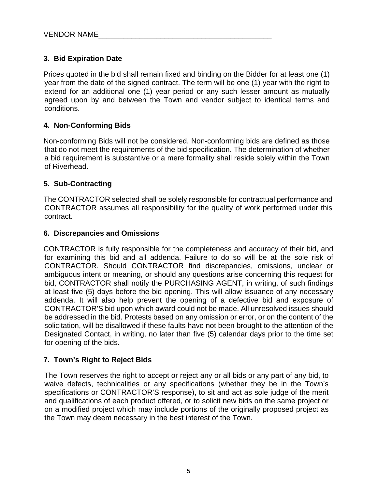#### **3. Bid Expiration Date**

Prices quoted in the bid shall remain fixed and binding on the Bidder for at least one (1) year from the date of the signed contract. The term will be one (1) year with the right to extend for an additional one (1) year period or any such lesser amount as mutually agreed upon by and between the Town and vendor subject to identical terms and conditions.

#### **4. Non-Conforming Bids**

Non-conforming Bids will not be considered. Non-conforming bids are defined as those that do not meet the requirements of the bid specification. The determination of whether a bid requirement is substantive or a mere formality shall reside solely within the Town of Riverhead.

#### **5. Sub-Contracting**

The CONTRACTOR selected shall be solely responsible for contractual performance and CONTRACTOR assumes all responsibility for the quality of work performed under this contract.

#### **6. Discrepancies and Omissions**

CONTRACTOR is fully responsible for the completeness and accuracy of their bid, and for examining this bid and all addenda. Failure to do so will be at the sole risk of CONTRACTOR. Should CONTRACTOR find discrepancies, omissions, unclear or ambiguous intent or meaning, or should any questions arise concerning this request for bid, CONTRACTOR shall notify the PURCHASING AGENT, in writing, of such findings at least five (5) days before the bid opening. This will allow issuance of any necessary addenda. It will also help prevent the opening of a defective bid and exposure of CONTRACTOR'S bid upon which award could not be made. All unresolved issues should be addressed in the bid. Protests based on any omission or error, or on the content of the solicitation, will be disallowed if these faults have not been brought to the attention of the Designated Contact, in writing, no later than five (5) calendar days prior to the time set for opening of the bids.

#### **7. Town's Right to Reject Bids**

The Town reserves the right to accept or reject any or all bids or any part of any bid, to waive defects, technicalities or any specifications (whether they be in the Town's specifications or CONTRACTOR'S response), to sit and act as sole judge of the merit and qualifications of each product offered, or to solicit new bids on the same project or on a modified project which may include portions of the originally proposed project as the Town may deem necessary in the best interest of the Town.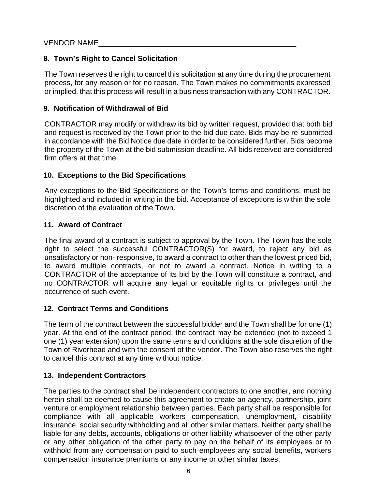#### **8. Town's Right to Cancel Solicitation**

The Town reserves the right to cancel this solicitation at any time during the procurement process, for any reason or for no reason. The Town makes no commitments expressed or implied, that this process will result in a business transaction with any CONTRACTOR.

#### **9. Notification of Withdrawal of Bid**

CONTRACTOR may modify or withdraw its bid by written request, provided that both bid and request is received by the Town prior to the bid due date. Bids may be re-submitted in accordance with the Bid Notice due date in order to be considered further. Bids become the property of the Town at the bid submission deadline. All bids received are considered firm offers at that time.

#### **10. Exceptions to the Bid Specifications**

Any exceptions to the Bid Specifications or the Town's terms and conditions, must be highlighted and included in writing in the bid. Acceptance of exceptions is within the sole discretion of the evaluation of the Town.

#### **11. Award of Contract**

The final award of a contract is subject to approval by the Town. The Town has the sole right to select the successful CONTRACTOR(S) for award, to reject any bid as unsatisfactory or non- responsive, to award a contract to other than the lowest priced bid, to award multiple contracts, or not to award a contract. Notice in writing to a CONTRACTOR of the acceptance of its bid by the Town will constitute a contract, and no CONTRACTOR will acquire any legal or equitable rights or privileges until the occurrence of such event.

#### **12. Contract Terms and Conditions**

The term of the contract between the successful bidder and the Town shall be for one (1) year. At the end of the contract period, the contract may be extended (not to exceed 1 one (1) year extension) upon the same terms and conditions at the sole discretion of the Town of Riverhead and with the consent of the vendor. The Town also reserves the right to cancel this contract at any time without notice.

#### **13. Independent Contractors**

The parties to the contract shall be independent contractors to one another, and nothing herein shall be deemed to cause this agreement to create an agency, partnership, joint venture or employment relationship between parties. Each party shall be responsible for compliance with all applicable workers compensation, unemployment, disability insurance, social security withholding and all other similar matters. Neither party shall be liable for any debts, accounts, obligations or other liability whatsoever of the other party or any other obligation of the other party to pay on the behalf of its employees or to withhold from any compensation paid to such employees any social benefits, workers compensation insurance premiums or any income or other similar taxes.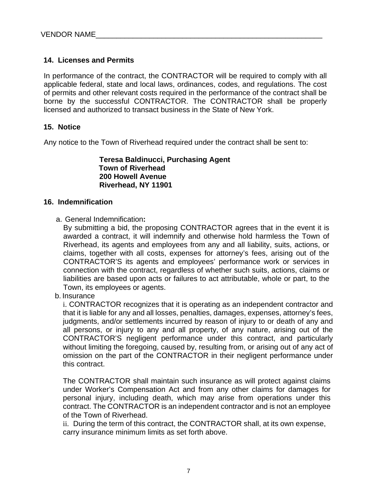#### **14. Licenses and Permits**

In performance of the contract, the CONTRACTOR will be required to comply with all applicable federal, state and local laws, ordinances, codes, and regulations. The cost of permits and other relevant costs required in the performance of the contract shall be borne by the successful CONTRACTOR. The CONTRACTOR shall be properly licensed and authorized to transact business in the State of New York.

#### **15. Notice**

Any notice to the Town of Riverhead required under the contract shall be sent to:

**Teresa Baldinucci, Purchasing Agent Town of Riverhead 200 Howell Avenue Riverhead, NY 11901** 

#### **16. Indemnification**

a. General Indemnification**:**

By submitting a bid, the proposing CONTRACTOR agrees that in the event it is awarded a contract, it will indemnify and otherwise hold harmless the Town of Riverhead, its agents and employees from any and all liability, suits, actions, or claims, together with all costs, expenses for attorney's fees, arising out of the CONTRACTOR'S its agents and employees' performance work or services in connection with the contract, regardless of whether such suits, actions, claims or liabilities are based upon acts or failures to act attributable, whole or part, to the Town, its employees or agents.

b. Insurance

i. CONTRACTOR recognizes that it is operating as an independent contractor and that it is liable for any and all losses, penalties, damages, expenses, attorney's fees, judgments, and/or settlements incurred by reason of injury to or death of any and all persons, or injury to any and all property, of any nature, arising out of the CONTRACTOR'S negligent performance under this contract, and particularly without limiting the foregoing, caused by, resulting from, or arising out of any act of omission on the part of the CONTRACTOR in their negligent performance under this contract.

The CONTRACTOR shall maintain such insurance as will protect against claims under Worker's Compensation Act and from any other claims for damages for personal injury, including death, which may arise from operations under this contract. The CONTRACTOR is an independent contractor and is not an employee of the Town of Riverhead.

ii. During the term of this contract, the CONTRACTOR shall, at its own expense, carry insurance minimum limits as set forth above.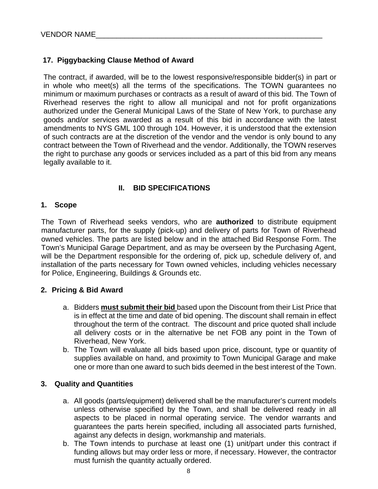#### **17. Piggybacking Clause Method of Award**

The contract, if awarded, will be to the lowest responsive/responsible bidder(s) in part or in whole who meet(s) all the terms of the specifications. The TOWN guarantees no minimum or maximum purchases or contracts as a result of award of this bid. The Town of Riverhead reserves the right to allow all municipal and not for profit organizations authorized under the General Municipal Laws of the State of New York, to purchase any goods and/or services awarded as a result of this bid in accordance with the latest amendments to NYS GML 100 through 104. However, it is understood that the extension of such contracts are at the discretion of the vendor and the vendor is only bound to any contract between the Town of Riverhead and the vendor. Additionally, the TOWN reserves the right to purchase any goods or services included as a part of this bid from any means legally available to it.

#### **II. BID SPECIFICATIONS**

#### **1. Scope**

The Town of Riverhead seeks vendors, who are **authorized** to distribute equipment manufacturer parts, for the supply (pick-up) and delivery of parts for Town of Riverhead owned vehicles. The parts are listed below and in the attached Bid Response Form. The Town's Municipal Garage Department, and as may be overseen by the Purchasing Agent, will be the Department responsible for the ordering of, pick up, schedule delivery of, and installation of the parts necessary for Town owned vehicles, including vehicles necessary for Police, Engineering, Buildings & Grounds etc.

#### **2. Pricing & Bid Award**

- a. Bidders **must submit their bid** based upon the Discount from their List Price that is in effect at the time and date of bid opening. The discount shall remain in effect throughout the term of the contract. The discount and price quoted shall include all delivery costs or in the alternative be net FOB any point in the Town of Riverhead, New York.
- b. The Town will evaluate all bids based upon price, discount, type or quantity of supplies available on hand, and proximity to Town Municipal Garage and make one or more than one award to such bids deemed in the best interest of the Town.

#### **3. Quality and Quantities**

- a. All goods (parts/equipment) delivered shall be the manufacturer's current models unless otherwise specified by the Town, and shall be delivered ready in all aspects to be placed in normal operating service. The vendor warrants and guarantees the parts herein specified, including all associated parts furnished, against any defects in design, workmanship and materials.
- b. The Town intends to purchase at least one (1) unit/part under this contract if funding allows but may order less or more, if necessary. However, the contractor must furnish the quantity actually ordered.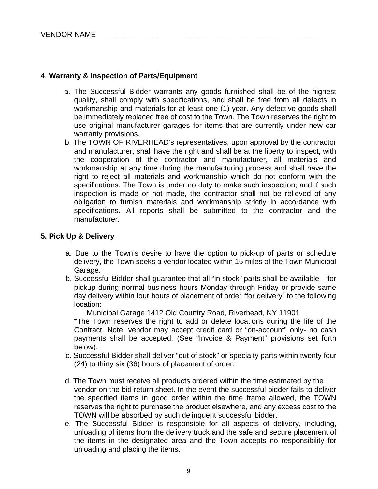#### **4**. **Warranty & Inspection of Parts/Equipment**

- a. The Successful Bidder warrants any goods furnished shall be of the highest quality, shall comply with specifications, and shall be free from all defects in workmanship and materials for at least one (1) year. Any defective goods shall be immediately replaced free of cost to the Town. The Town reserves the right to use original manufacturer garages for items that are currently under new car warranty provisions.
- b. The TOWN OF RIVERHEAD's representatives, upon approval by the contractor and manufacturer, shall have the right and shall be at the liberty to inspect, with the cooperation of the contractor and manufacturer, all materials and workmanship at any time during the manufacturing process and shall have the right to reject all materials and workmanship which do not conform with the specifications. The Town is under no duty to make such inspection; and if such inspection is made or not made, the contractor shall not be relieved of any obligation to furnish materials and workmanship strictly in accordance with specifications. All reports shall be submitted to the contractor and the manufacturer.

#### **5. Pick Up & Delivery**

- a. Due to the Town's desire to have the option to pick-up of parts or schedule delivery, the Town seeks a vendor located within 15 miles of the Town Municipal Garage.
- b. Successful Bidder shall guarantee that all "in stock" parts shall be available for pickup during normal business hours Monday through Friday or provide same day delivery within four hours of placement of order "for delivery" to the following location:

Municipal Garage 1412 Old Country Road, Riverhead, NY 11901

\*The Town reserves the right to add or delete locations during the life of the Contract. Note, vendor may accept credit card or "on-account" only- no cash payments shall be accepted. (See "Invoice & Payment" provisions set forth below).

- c. Successful Bidder shall deliver "out of stock" or specialty parts within twenty four (24) to thirty six (36) hours of placement of order.
- d. The Town must receive all products ordered within the time estimated by the vendor on the bid return sheet. In the event the successful bidder fails to deliver the specified items in good order within the time frame allowed, the TOWN reserves the right to purchase the product elsewhere, and any excess cost to the TOWN will be absorbed by such delinquent successful bidder.
- e. The Successful Bidder is responsible for all aspects of delivery, including, unloading of items from the delivery truck and the safe and secure placement of the items in the designated area and the Town accepts no responsibility for unloading and placing the items.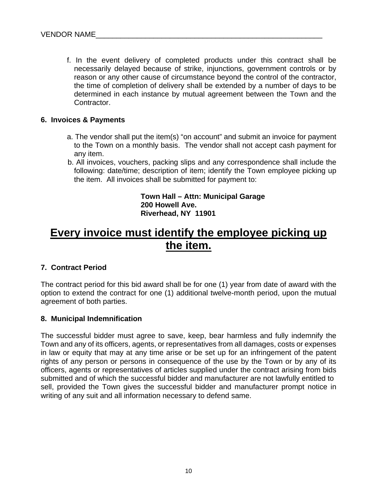f. In the event delivery of completed products under this contract shall be necessarily delayed because of strike, injunctions, government controls or by reason or any other cause of circumstance beyond the control of the contractor, the time of completion of delivery shall be extended by a number of days to be determined in each instance by mutual agreement between the Town and the Contractor.

#### **6. Invoices & Payments**

- a. The vendor shall put the item(s) "on account" and submit an invoice for payment to the Town on a monthly basis. The vendor shall not accept cash payment for any item.
- b. All invoices, vouchers, packing slips and any correspondence shall include the following: date/time; description of item; identify the Town employee picking up the item. All invoices shall be submitted for payment to:

**Town Hall – Attn: Municipal Garage 200 Howell Ave. Riverhead, NY 11901** 

## **Every invoice must identify the employee picking up the item.**

#### **7. Contract Period**

The contract period for this bid award shall be for one (1) year from date of award with the option to extend the contract for one (1) additional twelve-month period, upon the mutual agreement of both parties.

#### **8. Municipal Indemnification**

The successful bidder must agree to save, keep, bear harmless and fully indemnify the Town and any of its officers, agents, or representatives from all damages, costs or expenses in law or equity that may at any time arise or be set up for an infringement of the patent rights of any person or persons in consequence of the use by the Town or by any of its officers, agents or representatives of articles supplied under the contract arising from bids submitted and of which the successful bidder and manufacturer are not lawfully entitled to sell, provided the Town gives the successful bidder and manufacturer prompt notice in writing of any suit and all information necessary to defend same.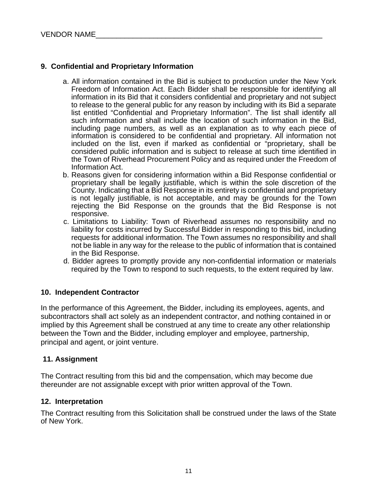#### **9. Confidential and Proprietary Information**

- a. All information contained in the Bid is subject to production under the New York Freedom of Information Act. Each Bidder shall be responsible for identifying all information in its Bid that it considers confidential and proprietary and not subject to release to the general public for any reason by including with its Bid a separate list entitled "Confidential and Proprietary Information". The list shall identify all such information and shall include the location of such information in the Bid, including page numbers, as well as an explanation as to why each piece of information is considered to be confidential and proprietary. All information not included on the list, even if marked as confidential or "proprietary, shall be considered public information and is subject to release at such time identified in the Town of Riverhead Procurement Policy and as required under the Freedom of Information Act.
- b. Reasons given for considering information within a Bid Response confidential or proprietary shall be legally justifiable, which is within the sole discretion of the County. Indicating that a Bid Response in its entirety is confidential and proprietary is not legally justifiable, is not acceptable, and may be grounds for the Town rejecting the Bid Response on the grounds that the Bid Response is not responsive.
- c. Limitations to Liability: Town of Riverhead assumes no responsibility and no liability for costs incurred by Successful Bidder in responding to this bid, including requests for additional information. The Town assumes no responsibility and shall not be liable in any way for the release to the public of information that is contained in the Bid Response.
- d. Bidder agrees to promptly provide any non-confidential information or materials required by the Town to respond to such requests, to the extent required by law.

#### **10. Independent Contractor**

In the performance of this Agreement, the Bidder, including its employees, agents, and subcontractors shall act solely as an independent contractor, and nothing contained in or implied by this Agreement shall be construed at any time to create any other relationship between the Town and the Bidder, including employer and employee, partnership, principal and agent, or joint venture.

#### **11. Assignment**

The Contract resulting from this bid and the compensation, which may become due thereunder are not assignable except with prior written approval of the Town.

#### **12. Interpretation**

The Contract resulting from this Solicitation shall be construed under the laws of the State of New York.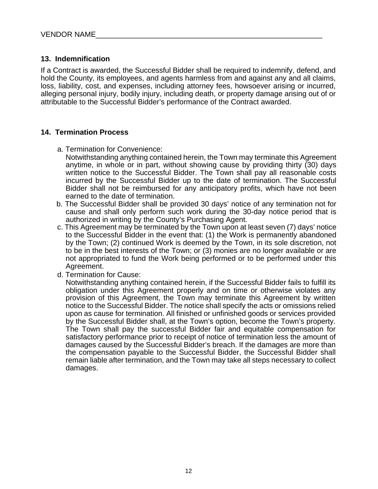#### **13. Indemnification**

If a Contract is awarded, the Successful Bidder shall be required to indemnify, defend, and hold the County, its employees, and agents harmless from and against any and all claims, loss, liability, cost, and expenses, including attorney fees, howsoever arising or incurred, alleging personal injury, bodily injury, including death, or property damage arising out of or attributable to the Successful Bidder's performance of the Contract awarded.

#### **14. Termination Process**

- a. Termination for Convenience:
	- Notwithstanding anything contained herein, the Town may terminate this Agreement anytime, in whole or in part, without showing cause by providing thirty (30) days written notice to the Successful Bidder. The Town shall pay all reasonable costs incurred by the Successful Bidder up to the date of termination. The Successful Bidder shall not be reimbursed for any anticipatory profits, which have not been earned to the date of termination.
- b. The Successful Bidder shall be provided 30 days' notice of any termination not for cause and shall only perform such work during the 30-day notice period that is authorized in writing by the County's Purchasing Agent.
- c. This Agreement may be terminated by the Town upon at least seven (7) days' notice to the Successful Bidder in the event that: (1) the Work is permanently abandoned by the Town; (2) continued Work is deemed by the Town, in its sole discretion, not to be in the best interests of the Town; or (3) monies are no longer available or are not appropriated to fund the Work being performed or to be performed under this Agreement.
- d. Termination for Cause:

Notwithstanding anything contained herein, if the Successful Bidder fails to fulfill its obligation under this Agreement properly and on time or otherwise violates any provision of this Agreement, the Town may terminate this Agreement by written notice to the Successful Bidder. The notice shall specify the acts or omissions relied upon as cause for termination. All finished or unfinished goods or services provided by the Successful Bidder shall, at the Town's option, become the Town's property. The Town shall pay the successful Bidder fair and equitable compensation for satisfactory performance prior to receipt of notice of termination less the amount of damages caused by the Successful Bidder's breach. If the damages are more than the compensation payable to the Successful Bidder, the Successful Bidder shall remain liable after termination, and the Town may take all steps necessary to collect damages.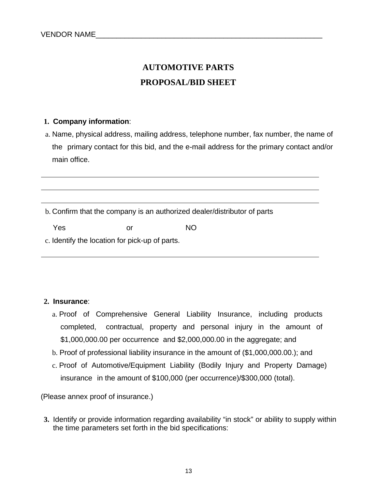## **AUTOMOTIVE PARTS PROPOSAL/BID SHEET**

#### **1. Company information**:

a. Name, physical address, mailing address, telephone number, fax number, the name of the primary contact for this bid, and the e-mail address for the primary contact and/or main office.

b. Confirm that the company is an authorized dealer/distributor of parts

Yes or NO

c. Identify the location for pick-up of parts.

#### **2. Insurance**:

- a. Proof of Comprehensive General Liability Insurance, including products completed, contractual, property and personal injury in the amount of \$1,000,000.00 per occurrence and \$2,000,000.00 in the aggregate; and
- b. Proof of professional liability insurance in the amount of (\$1,000,000.00.); and
- c. Proof of Automotive/Equipment Liability (Bodily Injury and Property Damage) insurance in the amount of \$100,000 (per occurrence)/\$300,000 (total).

(Please annex proof of insurance.)

**3.** Identify or provide information regarding availability "in stock" or ability to supply within the time parameters set forth in the bid specifications: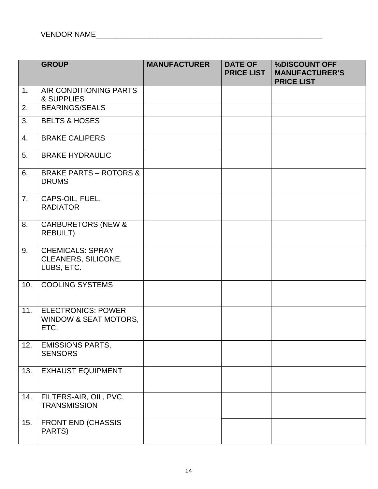|     | <b>GROUP</b>                                                          | <b>MANUFACTURER</b> | <b>DATE OF</b><br><b>PRICE LIST</b> | %DISCOUNT OFF<br><b>MANUFACTURER'S</b><br><b>PRICE LIST</b> |
|-----|-----------------------------------------------------------------------|---------------------|-------------------------------------|-------------------------------------------------------------|
| 1.  | AIR CONDITIONING PARTS<br>& SUPPLIES                                  |                     |                                     |                                                             |
| 2.  | <b>BEARINGS/SEALS</b>                                                 |                     |                                     |                                                             |
| 3.  | <b>BELTS &amp; HOSES</b>                                              |                     |                                     |                                                             |
| 4.  | <b>BRAKE CALIPERS</b>                                                 |                     |                                     |                                                             |
| 5.  | <b>BRAKE HYDRAULIC</b>                                                |                     |                                     |                                                             |
| 6.  | <b>BRAKE PARTS - ROTORS &amp;</b><br><b>DRUMS</b>                     |                     |                                     |                                                             |
| 7.  | CAPS-OIL, FUEL,<br><b>RADIATOR</b>                                    |                     |                                     |                                                             |
| 8.  | <b>CARBURETORS (NEW &amp;</b><br><b>REBUILT)</b>                      |                     |                                     |                                                             |
| 9.  | <b>CHEMICALS: SPRAY</b><br>CLEANERS, SILICONE,<br>LUBS, ETC.          |                     |                                     |                                                             |
| 10. | <b>COOLING SYSTEMS</b>                                                |                     |                                     |                                                             |
| 11. | <b>ELECTRONICS: POWER</b><br><b>WINDOW &amp; SEAT MOTORS,</b><br>ETC. |                     |                                     |                                                             |
| 12. | <b>EMISSIONS PARTS,</b><br><b>SENSORS</b>                             |                     |                                     |                                                             |
| 13. | <b>EXHAUST EQUIPMENT</b>                                              |                     |                                     |                                                             |
| 14. | FILTERS-AIR, OIL, PVC,<br><b>TRANSMISSION</b>                         |                     |                                     |                                                             |
| 15. | <b>FRONT END (CHASSIS</b><br>PARTS)                                   |                     |                                     |                                                             |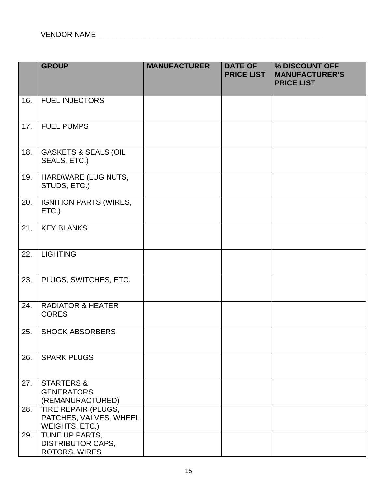|     | <b>GROUP</b>                                                    | <b>MANUFACTURER</b> | <b>DATE OF</b><br><b>PRICE LIST</b> | % DISCOUNT OFF<br><b>MANUFACTURER'S</b><br><b>PRICE LIST</b> |
|-----|-----------------------------------------------------------------|---------------------|-------------------------------------|--------------------------------------------------------------|
| 16. | <b>FUEL INJECTORS</b>                                           |                     |                                     |                                                              |
| 17. | <b>FUEL PUMPS</b>                                               |                     |                                     |                                                              |
| 18. | <b>GASKETS &amp; SEALS (OIL</b><br>SEALS, ETC.)                 |                     |                                     |                                                              |
| 19. | HARDWARE (LUG NUTS,<br>STUDS, ETC.)                             |                     |                                     |                                                              |
| 20. | <b>IGNITION PARTS (WIRES,</b><br>ETC.)                          |                     |                                     |                                                              |
| 21, | <b>KEY BLANKS</b>                                               |                     |                                     |                                                              |
| 22. | <b>LIGHTING</b>                                                 |                     |                                     |                                                              |
| 23. | PLUGS, SWITCHES, ETC.                                           |                     |                                     |                                                              |
| 24. | <b>RADIATOR &amp; HEATER</b><br><b>CORES</b>                    |                     |                                     |                                                              |
| 25. | <b>SHOCK ABSORBERS</b>                                          |                     |                                     |                                                              |
| 26. | <b>SPARK PLUGS</b>                                              |                     |                                     |                                                              |
| 27. | <b>STARTERS &amp;</b><br><b>GENERATORS</b><br>(REMANURACTURED)  |                     |                                     |                                                              |
| 28. | TIRE REPAIR (PLUGS,<br>PATCHES, VALVES, WHEEL<br>WEIGHTS, ETC.) |                     |                                     |                                                              |
| 29. | TUNE UP PARTS,<br><b>DISTRIBUTOR CAPS,</b><br>ROTORS, WIRES     |                     |                                     |                                                              |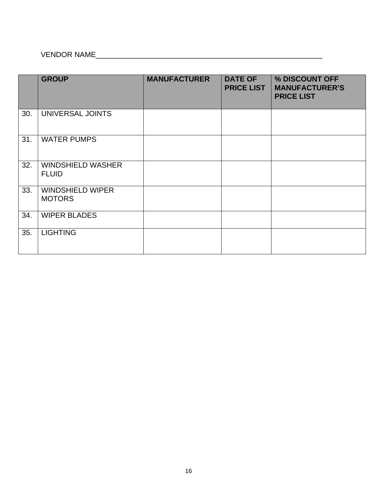# VENDOR NAME\_\_\_\_\_\_\_\_\_\_\_\_\_\_\_\_\_\_\_\_\_\_\_\_\_\_\_\_\_\_\_\_\_\_\_\_\_\_\_\_\_\_\_\_\_\_\_\_\_\_\_\_\_\_\_

|     | <b>GROUP</b>                             | <b>MANUFACTURER</b> | <b>DATE OF</b><br><b>PRICE LIST</b> | % DISCOUNT OFF<br><b>MANUFACTURER'S</b><br><b>PRICE LIST</b> |
|-----|------------------------------------------|---------------------|-------------------------------------|--------------------------------------------------------------|
| 30. | UNIVERSAL JOINTS                         |                     |                                     |                                                              |
| 31. | <b>WATER PUMPS</b>                       |                     |                                     |                                                              |
| 32. | <b>WINDSHIELD WASHER</b><br><b>FLUID</b> |                     |                                     |                                                              |
| 33. | <b>WINDSHIELD WIPER</b><br><b>MOTORS</b> |                     |                                     |                                                              |
| 34. | <b>WIPER BLADES</b>                      |                     |                                     |                                                              |
| 35. | <b>LIGHTING</b>                          |                     |                                     |                                                              |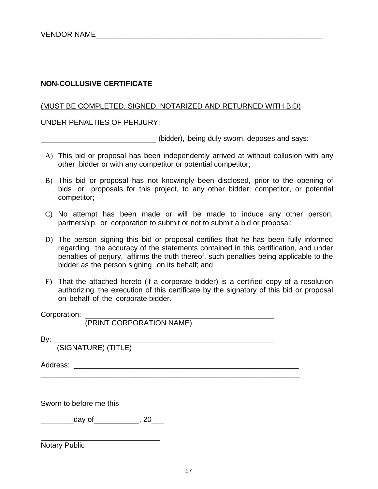#### **NON-COLLUSIVE CERTIFICATE**

#### (MUST BE COMPLETED. SIGNED. NOTARIZED AND RETURNED WITH BID)

UNDER PENALTIES OF PERJURY:

(bidder), being duly sworn, deposes and says:

- A) This bid or proposal has been independently arrived at without collusion with any other bidder or with any competitor or potential competitor;
- B) This bid or proposal has not knowingly been disclosed, prior to the opening of bids or proposals for this project, to any other bidder, competitor, or potential competitor;
- C) No attempt has been made or will be made to induce any other person, partnership, or corporation to submit or not to submit a bid or proposal;
- D) The person signing this bid or proposal certifies that he has been fully informed regarding the accuracy of the statements contained in this certification, and under penalties of perjury, affirms the truth thereof, such penalties being applicable to the bidder as the person signing on its behalf; and
- E) That the attached hereto (if a corporate bidder) is a certified copy of a resolution authorizing the execution of this certificate by the signatory of this bid or proposal on behalf of the corporate bidder.

\_\_\_\_\_\_\_\_\_\_\_\_\_\_\_\_\_\_\_\_\_\_\_\_\_\_\_\_\_\_\_\_\_\_\_\_\_\_\_\_\_\_\_\_\_\_\_\_\_\_\_\_\_\_\_\_\_\_\_\_\_\_\_

Corporation:

(PRINT CORPORATION NAME)

By:

(SIGNATURE) (TITLE)

Address: \_\_\_\_\_\_\_\_\_\_\_\_\_\_\_\_\_\_\_\_\_\_\_\_\_\_\_\_\_\_\_\_\_\_\_\_\_\_\_\_\_\_\_\_\_\_\_\_\_\_\_\_\_\_\_

Sworn to before me this

 $\frac{1}{2}$  day of  $\frac{1}{2}$ , 20

Notary Public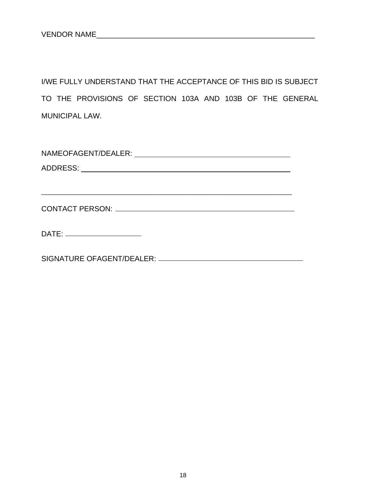I/WE FULLY UNDERSTAND THAT THE ACCEPTANCE OF THIS BID IS SUBJECT TO THE PROVISIONS OF SECTION 103A AND 103B OF THE GENERAL MUNICIPAL LAW.

| CONTACT PERSON: Network and the state of the state of the state of the state of the state of the state of the state of the state of the state of the state of the state of the state of the state of the state of the state of |
|--------------------------------------------------------------------------------------------------------------------------------------------------------------------------------------------------------------------------------|
|                                                                                                                                                                                                                                |
| DATE: ________________________                                                                                                                                                                                                 |
|                                                                                                                                                                                                                                |
|                                                                                                                                                                                                                                |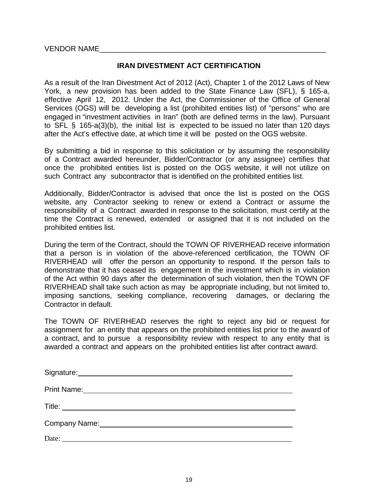VENDOR NAME

#### **IRAN DIVESTMENT ACT CERTIFICATION**

As a result of the Iran Divestment Act of 2012 (Act), Chapter 1 of the 2012 Laws of New York, a new provision has been added to the State Finance Law (SFL), § 165-a, effective April 12, 2012. Under the Act, the Commissioner of the Office of General Services (OGS) will be developing a list (prohibited entities list) of "persons" who are engaged in "investment activities in Iran" (both are defined terms in the law). Pursuant to SFL § 165-a(3)(b), the initial list is expected to be issued no later than 120 days after the Act's effective date, at which time it will be posted on the OGS website.

By submitting a bid in response to this solicitation or by assuming the responsibility of a Contract awarded hereunder, Bidder/Contractor (or any assignee) certifies that once the prohibited entities list is posted on the OGS website, it will not utilize on such Contract any subcontractor that is identified on the prohibited entities list.

Additionally, Bidder/Contractor is advised that once the list is posted on the OGS website, any Contractor seeking to renew or extend a Contract or assume the responsibility of a Contract awarded in response to the solicitation, must certify at the time the Contract is renewed, extended or assigned that it is not included on the prohibited entities list.

During the term of the Contract, should the TOWN OF RIVERHEAD receive information that a person is in violation of the above-referenced certification, the TOWN OF RIVERHEAD will offer the person an opportunity to respond. If the person fails to demonstrate that it has ceased its engagement in the investment which is in violation of the Act within 90 days after the determination of such violation, then the TOWN OF RIVERHEAD shall take such action as may be appropriate including, but not limited to, imposing sanctions, seeking compliance, recovering damages, or declaring the Contractor in default.

The TOWN OF RIVERHEAD reserves the right to reject any bid or request for assignment for an entity that appears on the prohibited entities list prior to the award of a contract, and to pursue a responsibility review with respect to any entity that is awarded a contract and appears on the prohibited entities list after contract award.

| Signature: Management Contract Contract Contract Contract Contract Contract Contract Contract Contract Contract Contract Contract Contract Contract Contract Contract Contract Contract Contract Contract Contract Contract Co |
|--------------------------------------------------------------------------------------------------------------------------------------------------------------------------------------------------------------------------------|
| Print Name: Name:                                                                                                                                                                                                              |
| Title:<br><u> 1989 - Andrea State Barbara, politik a postal de la provincia de la provincia de la provincia de la provincia</u>                                                                                                |
| Company Name: Company Name:                                                                                                                                                                                                    |
|                                                                                                                                                                                                                                |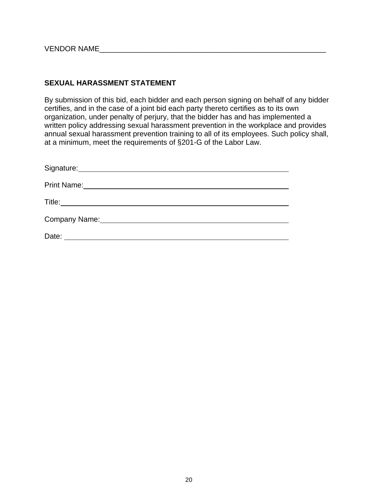VENDOR NAME\_\_\_\_\_\_\_\_\_\_\_\_\_\_\_\_\_\_\_\_\_\_\_\_\_\_\_\_\_\_\_\_\_\_\_\_\_\_\_\_\_\_\_\_\_\_\_\_\_\_\_\_\_\_\_

#### **SEXUAL HARASSMENT STATEMENT**

By submission of this bid, each bidder and each person signing on behalf of any bidder certifies, and in the case of a joint bid each party thereto certifies as to its own organization, under penalty of perjury, that the bidder has and has implemented a written policy addressing sexual harassment prevention in the workplace and provides annual sexual harassment prevention training to all of its employees. Such policy shall, at a minimum, meet the requirements of §201-G of the Labor Law.

| Signature: Management Signature: |
|----------------------------------|
| <b>Print Name:</b>               |
|                                  |
| Company Name:                    |
| Date:                            |